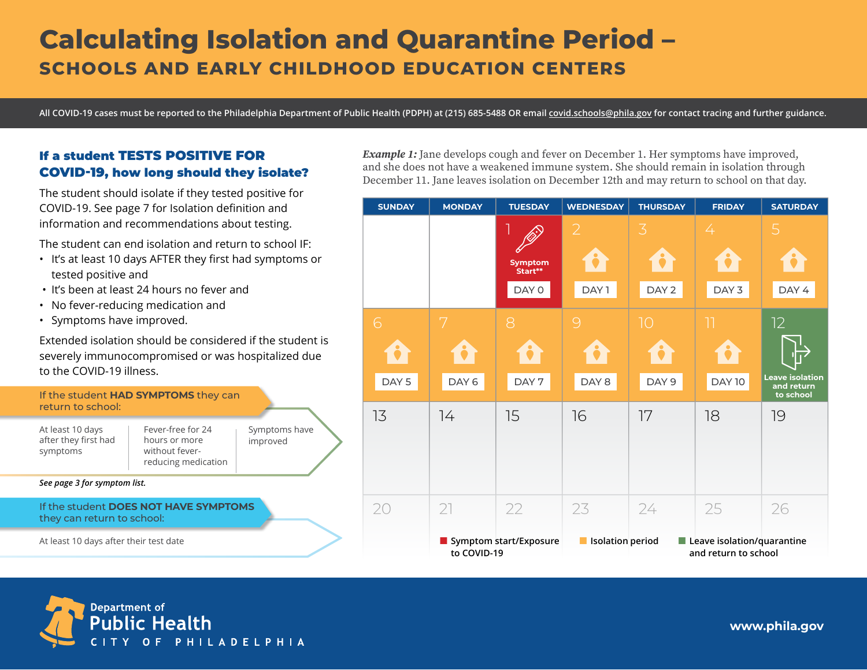# **Calculating Isolation and Quarantine Period – SCHOOLS AND EARLY CHILDHOOD EDUCATION CENTERS**

**All COVID-19 cases must be reported to the Philadelphia Department of Public Health (PDPH) at (215) 685-5488 OR email [covid.schools@phila.gov](mailto:covid.schools%40phila.gov?subject=) for contact tracing and further guidance.**

## If a student TESTS POSITIVE FOR COVID-19, how long should they isolate?

The student should isolate if they tested positive for COVID-19. See page 7 for Isolation definition and information and recommendations about testing.

The student can end isolation and return to school IF:

- It's at least 10 days AFTER they first had symptoms or tested positive and
- It's been at least 24 hours no fever and
- No fever-reducing medication and
- Symptoms have improved.

Extended isolation should be considered if the student is severely immunocompromised or was hospitalized due to the COVID-19 illness.



At least 10 days after their test date

*Example 1:* Jane develops cough and fever on December 1. Her symptoms have improved, and she does not have a weakened immune system. She should remain in isolation through December 11. Jane leaves isolation on December 12th and may return to school on that day.





**[www.phila.gov](http://www.phila.gov)**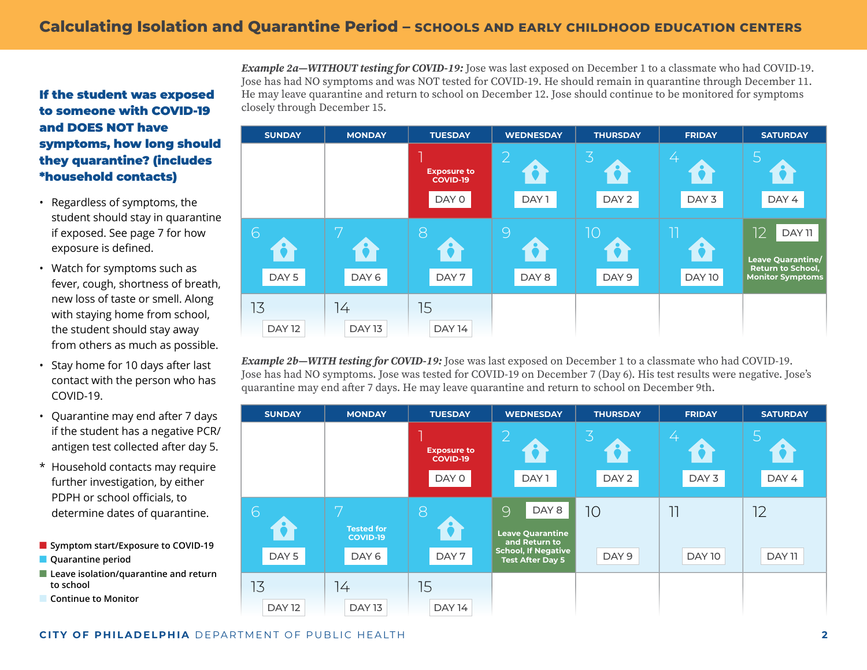# <span id="page-1-0"></span>If the student was exposed to someone with COVID-19 and DOES NOT have symptoms, how long should they quarantine? (includes \*household contacts)

- Regardless of symptoms, the student should stay in quarantine if exposed. See page 7 for how exposure is defined.
- Watch for symptoms such as fever, cough, shortness of breath, new loss of taste or smell. Along with staying home from school, the student should stay away from others as much as possible.
- Stay home for 10 days after last contact with the person who has COVID-19.
- Quarantine may end after 7 days if the student has a negative PCR/ antigen test collected after day 5.
- \* Household contacts may require further investigation, by either PDPH or school officials, to determine dates of quarantine.
- **Symptom start/Exposure to COVID-19**
- **Quarantine period**
- Leave isolation/quarantine and return **to school**
- **Continue to Monitor**

*Example 2a—WITHOUT testing for COVID-19:* Jose was last exposed on December 1 to a classmate who had COVID-19. Jose has had NO symptoms and was NOT tested for COVID-19. He should remain in quarantine through December 11. He may leave quarantine and return to school on December 12. Jose should continue to be monitored for symptoms closely through December 15.



*Example 2b—WITH testing for COVID-19:* Jose was last exposed on December 1 to a classmate who had COVID-19. Jose has had NO symptoms. Jose was tested for COVID-19 on December 7 (Day 6). His test results were negative. Jose's quarantine may end after 7 days. He may leave quarantine and return to school on December 9th.

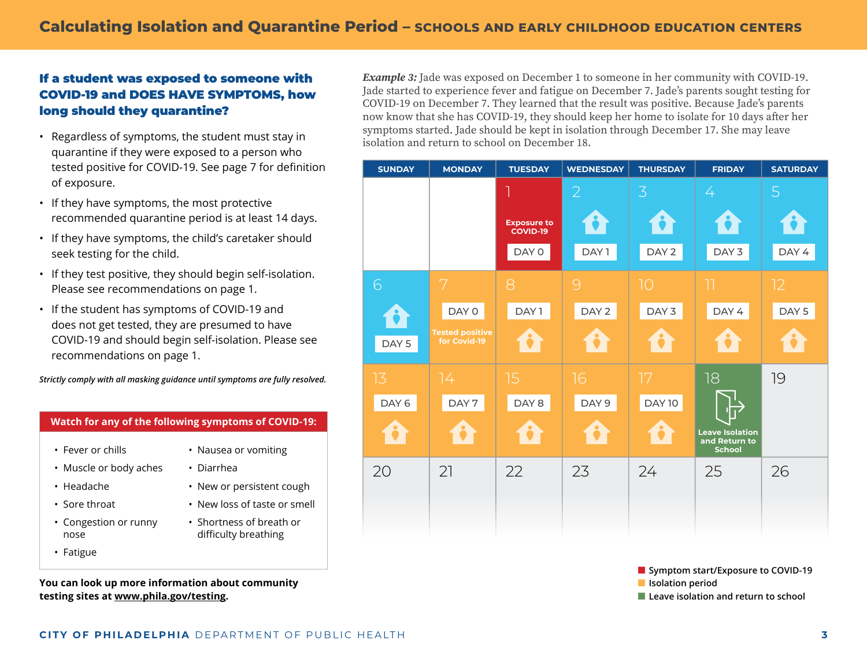## <span id="page-2-0"></span>If a student was exposed to someone with COVID-19 and DOES HAVE SYMPTOMS, how long should they quarantine?

- Regardless of symptoms, the student must stay in quarantine if they were exposed to a person who tested positive for COVID-19. See page 7 for definition of exposure.
- If they have symptoms, the most protective recommended quarantine period is at least 14 days.
- If they have symptoms, the child's caretaker should seek testing for the child.
- If they test positive, they should begin self-isolation. Please see recommendations on [page 1](#page-1-0).
- If the student has symptoms of COVID-19 and does not get tested, they are presumed to have COVID-19 and should begin self-isolation. Please see recommendations on [page 1](#page-1-0).

*Strictly comply with all masking guidance until symptoms are fully resolved.*

#### **Watch for any of the following symptoms of COVID-19:**

- Fever or chills
- Muscle or body aches
- Headache
- Sore throat
- Congestion or runny nose
- Fatigue

**You can look up more information about community testing sites at [www.phila.gov/testing](http://www.phila.gov/testing).**

*Example 3:* Jade was exposed on December 1 to someone in her community with COVID-19. Jade started to experience fever and fatigue on December 7. Jade's parents sought testing for COVID-19 on December 7. They learned that the result was positive. Because Jade's parents now know that she has COVID-19, they should keep her home to isolate for 10 days after her symptoms started. Jade should be kept in isolation through December 17. She may leave isolation and return to school on December 18.



■ **Symptom start/Exposure to COVID-19**

■ **Isolation period**

■ Leave isolation and return to school

• Nausea or vomiting

• New or persistent cough • New loss of taste or smell • Shortness of breath or difficulty breathing

• Diarrhea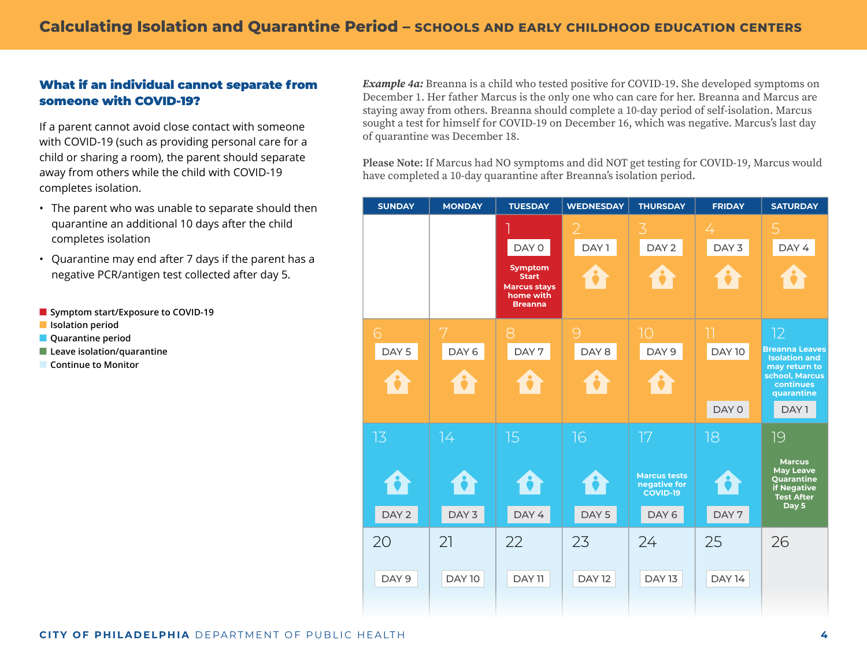## What if an individual cannot separate from someone with COVID-19?

If a parent cannot avoid close contact with someone with COVID-19 (such as providing personal care for a child or sharing a room), the parent should separate away from others while the child with COVID-19 completes isolation.

- The parent who was unable to separate should then quarantine an additional 10 days after the child completes isolation
- Quarantine may end after 7 days if the parent has a negative PCR/antigen test collected after day 5.
- Symptom start/Exposure to COVID-19
- **Isolation period**
- **Quarantine period**
- Leave isolation/quarantine
- **Continue to Monitor**

*Example 4a: Breanna is a child who tested positive for COVID-19. She developed symptoms on* December 1. Her father Marcus is the only one who can care for her. Breanna and Marcus are staying away from others. Breanna should complete a 10-day period of self-isolation. Marcus sought a test for himself for COVID-19 on December 16, which was negative. Marcus's last day of quarantine was December 18.

**Please Note:** If Marcus had NO symptoms and did NOT get testing for COVID-19, Marcus would have completed a 10-day quarantine after Breanna's isolation period.

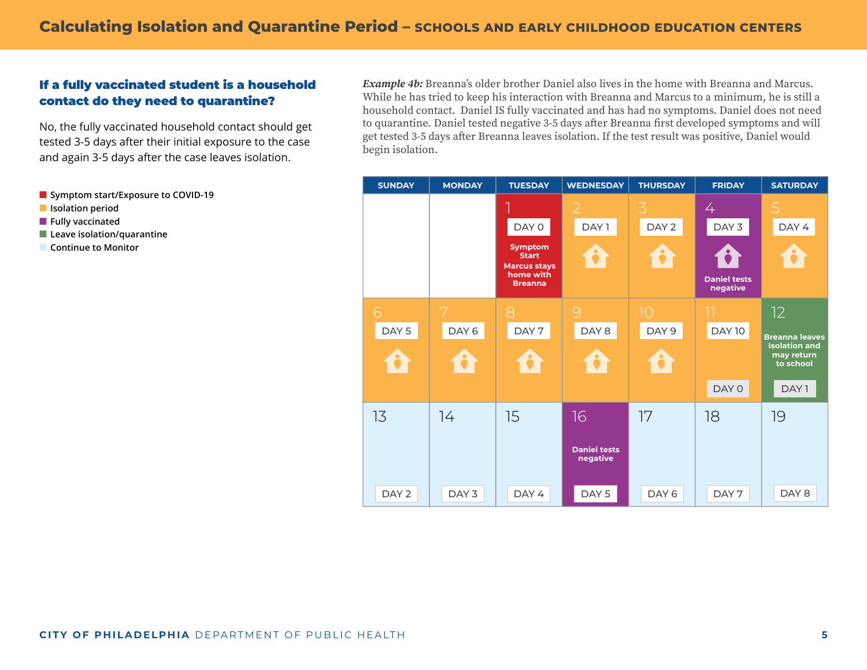## If a fully vaccinated student is a household contact do they need to quarantine?

No, the fully vaccinated household contact should get tested 3-5 days after their initial exposure to the case and again 3-5 days after the case leaves isolation.

■ **Symptom start/Exposure to COVID-19** 

- **Isolation period**
- **Fully vaccinated**
- Leave isolation/quarantine
- **Continue to Monitor**

*Example 4b:* Breanna's older brother Daniel also lives in the home with Breanna and Marcus. While he has tried to keep his interaction with Breanna and Marcus to a minimum, he is still a household contact. Daniel IS fully vaccinated and has had no symptoms. Daniel does not need to quarantine. Daniel tested negative 3-5 days after Breanna first developed symptoms and will get tested 3-5 days after Breanna leaves isolation. If the test result was positive, Daniel would begin isolation.

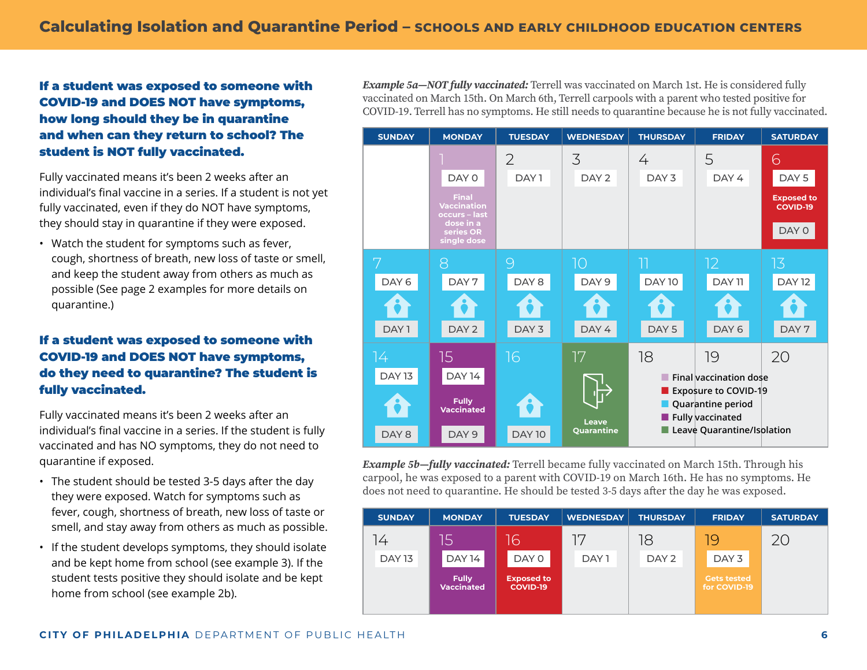If a student was exposed to someone with COVID-19 and DOES NOT have symptoms, how long should they be in quarantine and when can they return to school? The student is NOT fully vaccinated.

Fully vaccinated means it's been 2 weeks after an individual's final vaccine in a series. If a student is not yet fully vaccinated, even if they do NOT have symptoms, they should stay in quarantine if they were exposed.

• Watch the student for symptoms such as fever, cough, shortness of breath, new loss of taste or smell, and keep the student away from others as much as possible (See [page 2](#page-1-0) examples for more details on quarantine.)

# If a student was exposed to someone with COVID-19 and DOES NOT have symptoms, do they need to quarantine? The student is fully vaccinated.

Fully vaccinated means it's been 2 weeks after an individual's final vaccine in a series. If the student is fully vaccinated and has NO symptoms, they do not need to quarantine if exposed.

- The student should be tested 3-5 days after the day they were exposed. Watch for symptoms such as fever, cough, shortness of breath, new loss of taste or smell, and stay away from others as much as possible.
- If the student develops symptoms, they should isolate and be kept home from school ([see example 3\)](#page-2-0). If the student tests positive they should isolate and be kept home from school ([see example 2b\)](#page-1-0).

*Example 5a—NOT fully vaccinated:* Terrell was vaccinated on March 1st. He is considered fully vaccinated on March 15th. On March 6th, Terrell carpools with a parent who tested positive for COVID-19. Terrell has no symptoms. He still needs to quarantine because he is not fully vaccinated.



*Example 5b—fully vaccinated:* Terrell became fully vaccinated on March 15th. Through his carpool, he was exposed to a parent with COVID-19 on March 16th. He has no symptoms. He does not need to quarantine. He should be tested 3-5 days after the day he was exposed.